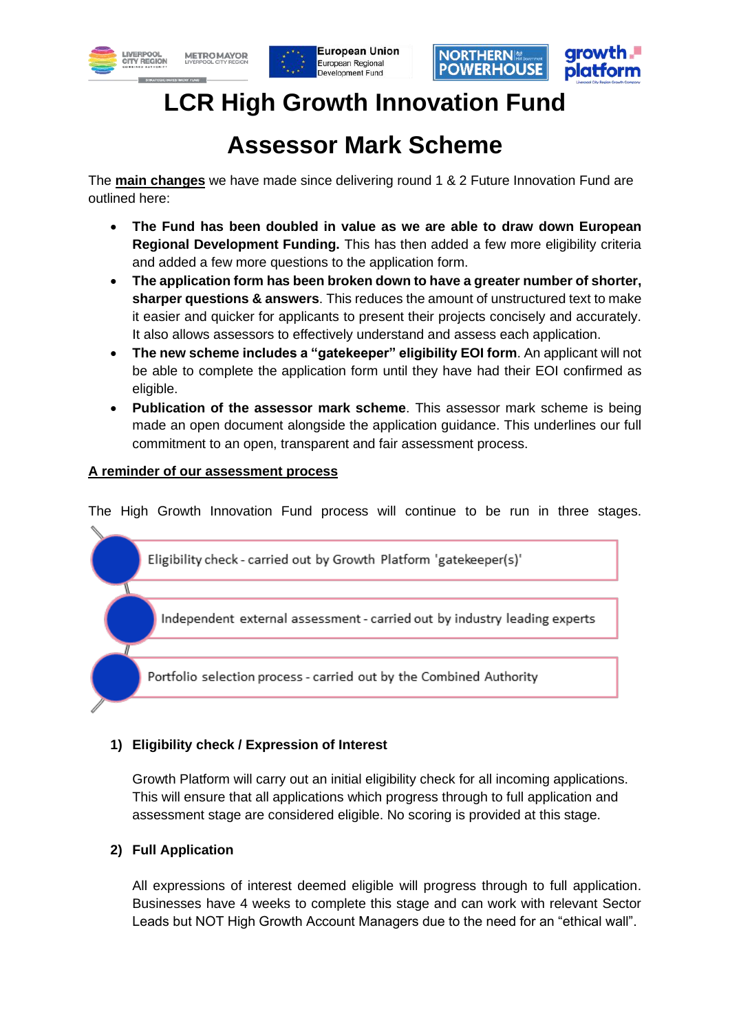





# **LCR High Growth Innovation Fund**

## **Assessor Mark Scheme**

The **main changes** we have made since delivering round 1 & 2 Future Innovation Fund are outlined here:

- **The Fund has been doubled in value as we are able to draw down European Regional Development Funding.** This has then added a few more eligibility criteria and added a few more questions to the application form.
- **The application form has been broken down to have a greater number of shorter, sharper questions & answers**. This reduces the amount of unstructured text to make it easier and quicker for applicants to present their projects concisely and accurately. It also allows assessors to effectively understand and assess each application.
- **The new scheme includes a "gatekeeper" eligibility EOI form**. An applicant will not be able to complete the application form until they have had their EOI confirmed as eligible.
- **Publication of the assessor mark scheme**. This assessor mark scheme is being made an open document alongside the application guidance. This underlines our full commitment to an open, transparent and fair assessment process.

#### **A reminder of our assessment process**

The High Growth Innovation Fund process will continue to be run in three stages.



Independent external assessment - carried out by industry leading experts

Portfolio selection process - carried out by the Combined Authority

### **1) Eligibility check / Expression of Interest**

Growth Platform will carry out an initial eligibility check for all incoming applications. This will ensure that all applications which progress through to full application and assessment stage are considered eligible. No scoring is provided at this stage.

### **2) Full Application**

All expressions of interest deemed eligible will progress through to full application. Businesses have 4 weeks to complete this stage and can work with relevant Sector Leads but NOT High Growth Account Managers due to the need for an "ethical wall".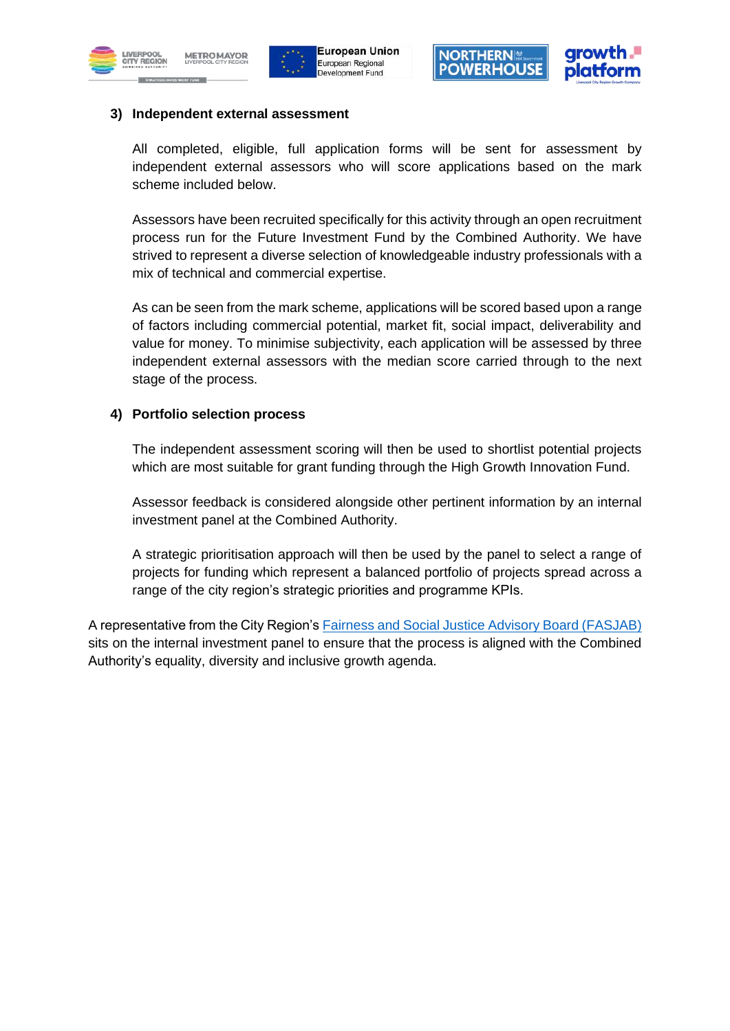







#### **3) Independent external assessment**

All completed, eligible, full application forms will be sent for assessment by independent external assessors who will score applications based on the mark scheme included below.

Assessors have been recruited specifically for this activity through an open recruitment process run for the Future Investment Fund by the Combined Authority. We have strived to represent a diverse selection of knowledgeable industry professionals with a mix of technical and commercial expertise.

As can be seen from the mark scheme, applications will be scored based upon a range of factors including commercial potential, market fit, social impact, deliverability and value for money. To minimise subjectivity, each application will be assessed by three independent external assessors with the median score carried through to the next stage of the process.

#### **4) Portfolio selection process**

The independent assessment scoring will then be used to shortlist potential projects which are most suitable for grant funding through the High Growth Innovation Fund.

Assessor feedback is considered alongside other pertinent information by an internal investment panel at the Combined Authority.

A strategic prioritisation approach will then be used by the panel to select a range of projects for funding which represent a balanced portfolio of projects spread across a range of the city region's strategic priorities and programme KPIs.

A representative from the City Region's [Fairness and Social Justice](https://www.liverpoolcityregion-ca.gov.uk/governance/fairness-social-justice-advisory-board/) Advisory Board (FASJAB) sits on the internal investment panel to ensure that the process is aligned with the Combined Authority's equality, diversity and inclusive growth agenda.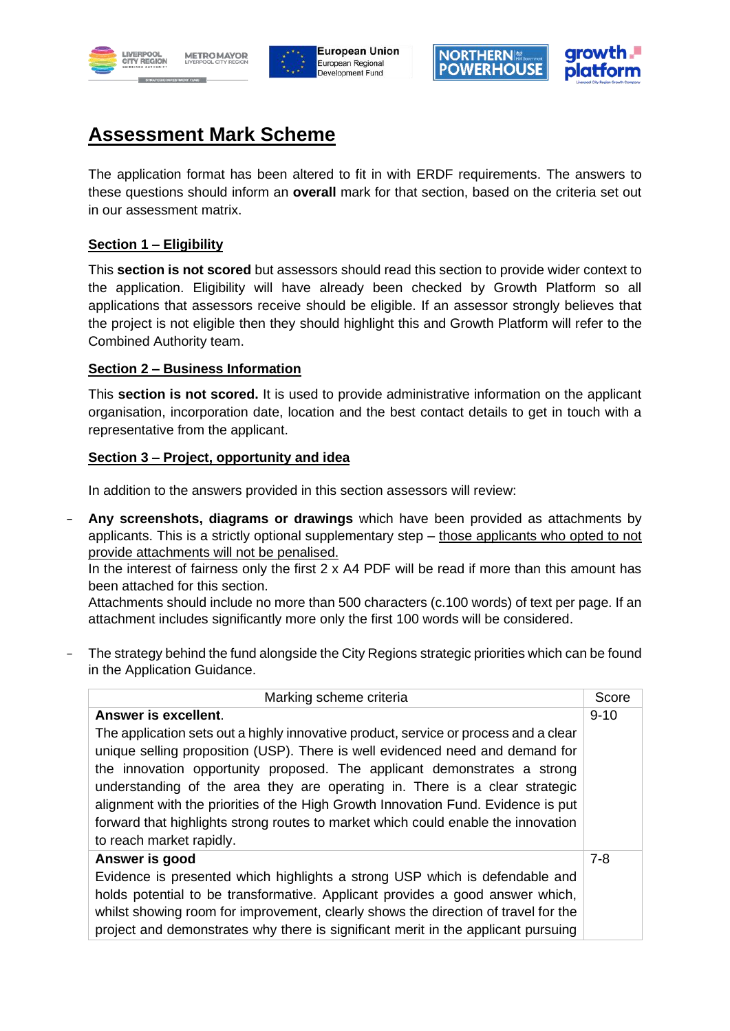







## **Assessment Mark Scheme**

The application format has been altered to fit in with ERDF requirements. The answers to these questions should inform an **overall** mark for that section, based on the criteria set out in our assessment matrix.

#### **Section 1 – Eligibility**

This **section is not scored** but assessors should read this section to provide wider context to the application. Eligibility will have already been checked by Growth Platform so all applications that assessors receive should be eligible. If an assessor strongly believes that the project is not eligible then they should highlight this and Growth Platform will refer to the Combined Authority team.

#### **Section 2 – Business Information**

This **section is not scored.** It is used to provide administrative information on the applicant organisation, incorporation date, location and the best contact details to get in touch with a representative from the applicant.

#### **Section 3 – Project, opportunity and idea**

In addition to the answers provided in this section assessors will review:

**Any screenshots, diagrams or drawings** which have been provided as attachments by applicants. This is a strictly optional supplementary step  $-$  those applicants who opted to not provide attachments will not be penalised.

In the interest of fairness only the first 2 x A4 PDF will be read if more than this amount has been attached for this section.

Attachments should include no more than 500 characters (c.100 words) of text per page. If an attachment includes significantly more only the first 100 words will be considered.

The strategy behind the fund alongside the City Regions strategic priorities which can be found in the Application Guidance.

| Marking scheme criteria                                                                                                                                                                                                                                                                                                                                                                                                                                                                                                                | Score    |
|----------------------------------------------------------------------------------------------------------------------------------------------------------------------------------------------------------------------------------------------------------------------------------------------------------------------------------------------------------------------------------------------------------------------------------------------------------------------------------------------------------------------------------------|----------|
| Answer is excellent.                                                                                                                                                                                                                                                                                                                                                                                                                                                                                                                   | $9 - 10$ |
| The application sets out a highly innovative product, service or process and a clear<br>unique selling proposition (USP). There is well evidenced need and demand for<br>the innovation opportunity proposed. The applicant demonstrates a strong<br>understanding of the area they are operating in. There is a clear strategic<br>alignment with the priorities of the High Growth Innovation Fund. Evidence is put<br>forward that highlights strong routes to market which could enable the innovation<br>to reach market rapidly. |          |
| Answer is good                                                                                                                                                                                                                                                                                                                                                                                                                                                                                                                         | $7 - 8$  |
| Evidence is presented which highlights a strong USP which is defendable and<br>holds potential to be transformative. Applicant provides a good answer which,<br>whilst showing room for improvement, clearly shows the direction of travel for the<br>project and demonstrates why there is significant merit in the applicant pursuing                                                                                                                                                                                                |          |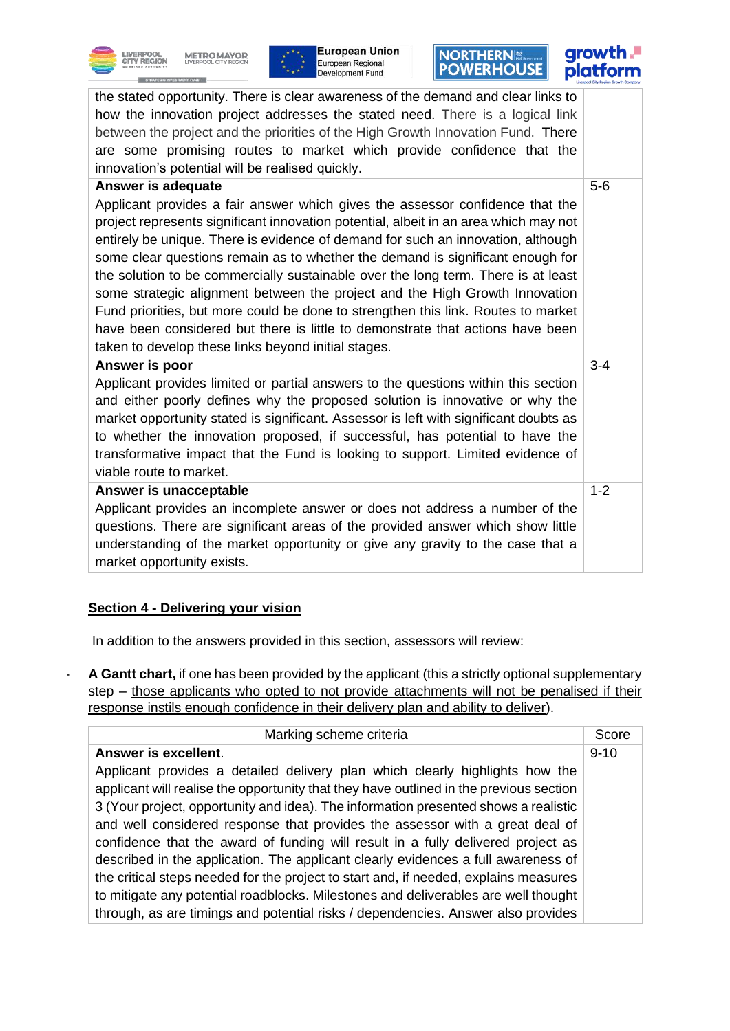



# **NORTHERNESSE**<br>**POWERHOUSE**



| the stated opportunity. There is clear awareness of the demand and clear links to<br>how the innovation project addresses the stated need. There is a logical link<br>between the project and the priorities of the High Growth Innovation Fund. There<br>are some promising routes to market which provide confidence that the<br>innovation's potential will be realised quickly.                                                                                                                                                                                                                                                                                                                                                           |         |
|-----------------------------------------------------------------------------------------------------------------------------------------------------------------------------------------------------------------------------------------------------------------------------------------------------------------------------------------------------------------------------------------------------------------------------------------------------------------------------------------------------------------------------------------------------------------------------------------------------------------------------------------------------------------------------------------------------------------------------------------------|---------|
| Answer is adequate                                                                                                                                                                                                                                                                                                                                                                                                                                                                                                                                                                                                                                                                                                                            | $5-6$   |
| Applicant provides a fair answer which gives the assessor confidence that the<br>project represents significant innovation potential, albeit in an area which may not<br>entirely be unique. There is evidence of demand for such an innovation, although<br>some clear questions remain as to whether the demand is significant enough for<br>the solution to be commercially sustainable over the long term. There is at least<br>some strategic alignment between the project and the High Growth Innovation<br>Fund priorities, but more could be done to strengthen this link. Routes to market<br>have been considered but there is little to demonstrate that actions have been<br>taken to develop these links beyond initial stages. |         |
| Answer is poor                                                                                                                                                                                                                                                                                                                                                                                                                                                                                                                                                                                                                                                                                                                                | $3 - 4$ |
| Applicant provides limited or partial answers to the questions within this section<br>and either poorly defines why the proposed solution is innovative or why the<br>market opportunity stated is significant. Assessor is left with significant doubts as<br>to whether the innovation proposed, if successful, has potential to have the<br>transformative impact that the Fund is looking to support. Limited evidence of<br>viable route to market.                                                                                                                                                                                                                                                                                      |         |
| Answer is unacceptable                                                                                                                                                                                                                                                                                                                                                                                                                                                                                                                                                                                                                                                                                                                        | $1 - 2$ |
| Applicant provides an incomplete answer or does not address a number of the<br>questions. There are significant areas of the provided answer which show little<br>understanding of the market opportunity or give any gravity to the case that a<br>market opportunity exists.                                                                                                                                                                                                                                                                                                                                                                                                                                                                |         |

#### **Section 4 - Delivering your vision**

In addition to the answers provided in this section, assessors will review:

- **A Gantt chart,** if one has been provided by the applicant (this a strictly optional supplementary step – those applicants who opted to not provide attachments will not be penalised if their response instils enough confidence in their delivery plan and ability to deliver).

| Marking scheme criteria                                                                                                                                                   | Score    |
|---------------------------------------------------------------------------------------------------------------------------------------------------------------------------|----------|
| Answer is excellent.                                                                                                                                                      | $9 - 10$ |
| Applicant provides a detailed delivery plan which clearly highlights how the<br>applicant will realise the opportunity that they have outlined in the previous section    |          |
| 3 (Your project, opportunity and idea). The information presented shows a realistic<br>and well considered response that provides the assessor with a great deal of       |          |
| confidence that the award of funding will result in a fully delivered project as                                                                                          |          |
| described in the application. The applicant clearly evidences a full awareness of<br>the critical steps needed for the project to start and, if needed, explains measures |          |
| to mitigate any potential roadblocks. Milestones and deliverables are well thought<br>through, as are timings and potential risks / dependencies. Answer also provides    |          |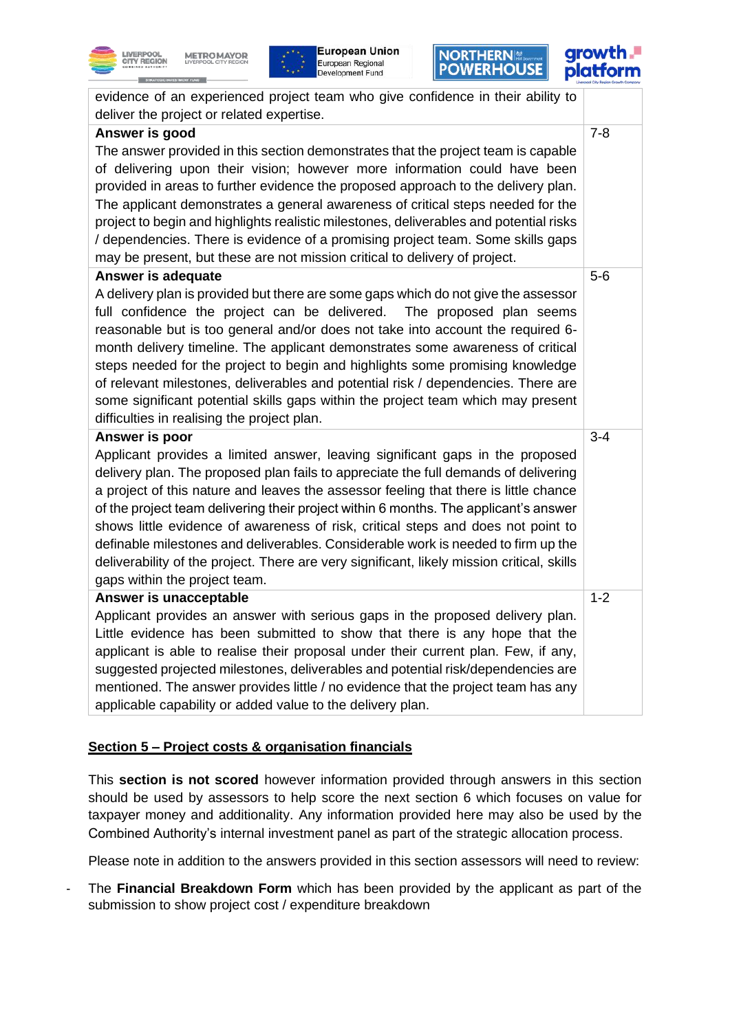

LIVERPOOL







| evidence of an experienced project team who give confidence in their ability to            |         |
|--------------------------------------------------------------------------------------------|---------|
| deliver the project or related expertise.                                                  |         |
| Answer is good                                                                             | $7 - 8$ |
| The answer provided in this section demonstrates that the project team is capable          |         |
| of delivering upon their vision; however more information could have been                  |         |
| provided in areas to further evidence the proposed approach to the delivery plan.          |         |
| The applicant demonstrates a general awareness of critical steps needed for the            |         |
| project to begin and highlights realistic milestones, deliverables and potential risks     |         |
| / dependencies. There is evidence of a promising project team. Some skills gaps            |         |
| may be present, but these are not mission critical to delivery of project.                 |         |
| Answer is adequate                                                                         | $5-6$   |
| A delivery plan is provided but there are some gaps which do not give the assessor         |         |
| full confidence the project can be delivered. The proposed plan seems                      |         |
| reasonable but is too general and/or does not take into account the required 6-            |         |
| month delivery timeline. The applicant demonstrates some awareness of critical             |         |
| steps needed for the project to begin and highlights some promising knowledge              |         |
| of relevant milestones, deliverables and potential risk / dependencies. There are          |         |
| some significant potential skills gaps within the project team which may present           |         |
| difficulties in realising the project plan.                                                |         |
| Answer is poor                                                                             | $3 - 4$ |
| Applicant provides a limited answer, leaving significant gaps in the proposed              |         |
| delivery plan. The proposed plan fails to appreciate the full demands of delivering        |         |
| a project of this nature and leaves the assessor feeling that there is little chance       |         |
| of the project team delivering their project within 6 months. The applicant's answer       |         |
| shows little evidence of awareness of risk, critical steps and does not point to           |         |
| definable milestones and deliverables. Considerable work is needed to firm up the          |         |
| deliverability of the project. There are very significant, likely mission critical, skills |         |
| gaps within the project team.                                                              |         |
| Answer is unacceptable                                                                     | $1 - 2$ |
| Applicant provides an answer with serious gaps in the proposed delivery plan.              |         |
| Little evidence has been submitted to show that there is any hope that the                 |         |
| applicant is able to realise their proposal under their current plan. Few, if any,         |         |
| suggested projected milestones, deliverables and potential risk/dependencies are           |         |
| mentioned. The answer provides little / no evidence that the project team has any          |         |
| applicable capability or added value to the delivery plan.                                 |         |

#### **Section 5 – Project costs & organisation financials**

This **section is not scored** however information provided through answers in this section should be used by assessors to help score the next section 6 which focuses on value for taxpayer money and additionality. Any information provided here may also be used by the Combined Authority's internal investment panel as part of the strategic allocation process.

Please note in addition to the answers provided in this section assessors will need to review:

The Financial Breakdown Form which has been provided by the applicant as part of the submission to show project cost / expenditure breakdown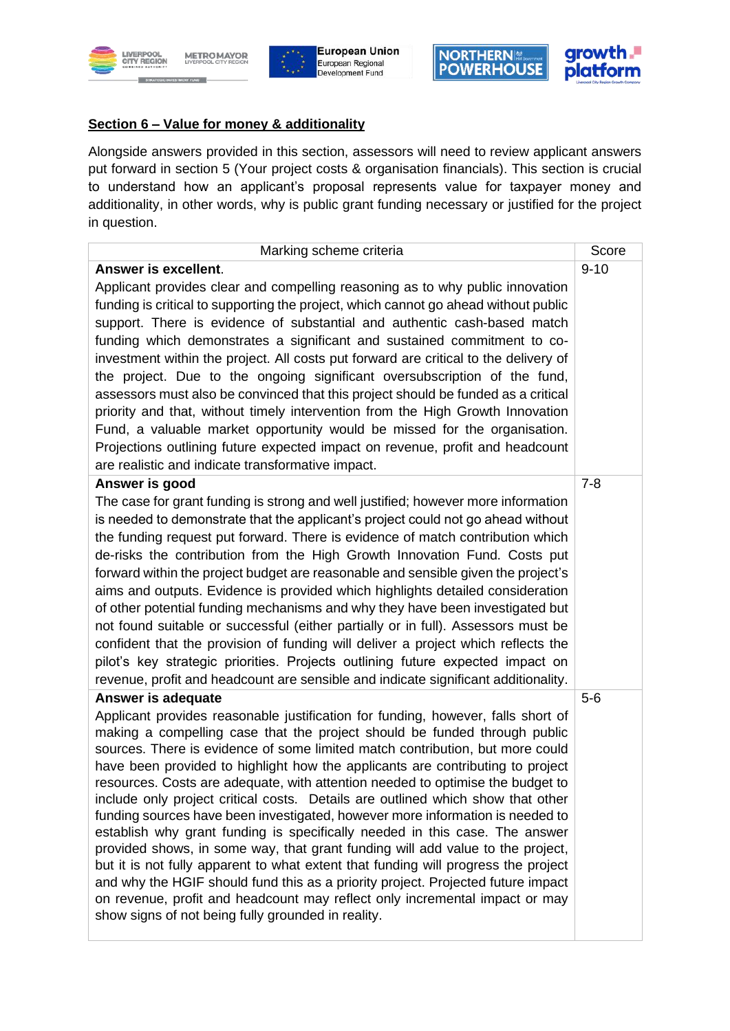







#### **Section 6 – Value for money & additionality**

Alongside answers provided in this section, assessors will need to review applicant answers put forward in section 5 (Your project costs & organisation financials). This section is crucial to understand how an applicant's proposal represents value for taxpayer money and additionality, in other words, why is public grant funding necessary or justified for the project in question.

| Marking scheme criteria                                                                                                                                                                                                                                                                                                                                                                                                                                                                                                                                                                                                                                                                                                                                                                                                                                                                                                                                                                                                                                                | Score    |
|------------------------------------------------------------------------------------------------------------------------------------------------------------------------------------------------------------------------------------------------------------------------------------------------------------------------------------------------------------------------------------------------------------------------------------------------------------------------------------------------------------------------------------------------------------------------------------------------------------------------------------------------------------------------------------------------------------------------------------------------------------------------------------------------------------------------------------------------------------------------------------------------------------------------------------------------------------------------------------------------------------------------------------------------------------------------|----------|
| <b>Answer is excellent.</b>                                                                                                                                                                                                                                                                                                                                                                                                                                                                                                                                                                                                                                                                                                                                                                                                                                                                                                                                                                                                                                            | $9 - 10$ |
| Applicant provides clear and compelling reasoning as to why public innovation<br>funding is critical to supporting the project, which cannot go ahead without public<br>support. There is evidence of substantial and authentic cash-based match<br>funding which demonstrates a significant and sustained commitment to co-<br>investment within the project. All costs put forward are critical to the delivery of<br>the project. Due to the ongoing significant oversubscription of the fund,<br>assessors must also be convinced that this project should be funded as a critical<br>priority and that, without timely intervention from the High Growth Innovation<br>Fund, a valuable market opportunity would be missed for the organisation.<br>Projections outlining future expected impact on revenue, profit and headcount<br>are realistic and indicate transformative impact.                                                                                                                                                                            |          |
| Answer is good                                                                                                                                                                                                                                                                                                                                                                                                                                                                                                                                                                                                                                                                                                                                                                                                                                                                                                                                                                                                                                                         | $7 - 8$  |
| The case for grant funding is strong and well justified; however more information<br>is needed to demonstrate that the applicant's project could not go ahead without<br>the funding request put forward. There is evidence of match contribution which<br>de-risks the contribution from the High Growth Innovation Fund. Costs put<br>forward within the project budget are reasonable and sensible given the project's<br>aims and outputs. Evidence is provided which highlights detailed consideration<br>of other potential funding mechanisms and why they have been investigated but<br>not found suitable or successful (either partially or in full). Assessors must be<br>confident that the provision of funding will deliver a project which reflects the<br>pilot's key strategic priorities. Projects outlining future expected impact on<br>revenue, profit and headcount are sensible and indicate significant additionality.                                                                                                                         |          |
| Answer is adequate                                                                                                                                                                                                                                                                                                                                                                                                                                                                                                                                                                                                                                                                                                                                                                                                                                                                                                                                                                                                                                                     | $5-6$    |
| Applicant provides reasonable justification for funding, however, falls short of<br>making a compelling case that the project should be funded through public<br>sources. There is evidence of some limited match contribution, but more could<br>have been provided to highlight how the applicants are contributing to project<br>resources. Costs are adequate, with attention needed to optimise the budget to<br>include only project critical costs. Details are outlined which show that other<br>funding sources have been investigated, however more information is needed to<br>establish why grant funding is specifically needed in this case. The answer<br>provided shows, in some way, that grant funding will add value to the project,<br>but it is not fully apparent to what extent that funding will progress the project<br>and why the HGIF should fund this as a priority project. Projected future impact<br>on revenue, profit and headcount may reflect only incremental impact or may<br>show signs of not being fully grounded in reality. |          |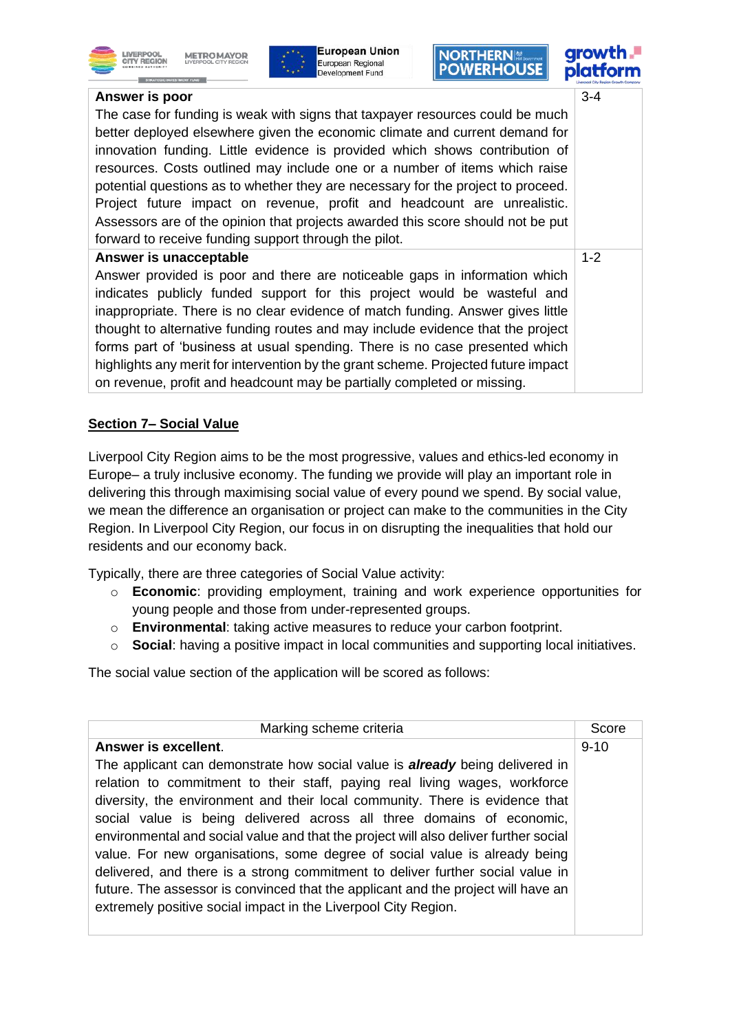

**LIVERROOL** 



#### **European Union** European Regional Development Fund

**NORTHERNI POWERHOUSE** 

### arowt platfo

| Answer is poor                                                                     | $3 - 4$ |
|------------------------------------------------------------------------------------|---------|
| The case for funding is weak with signs that taxpayer resources could be much      |         |
| better deployed elsewhere given the economic climate and current demand for        |         |
| innovation funding. Little evidence is provided which shows contribution of        |         |
| resources. Costs outlined may include one or a number of items which raise         |         |
| potential questions as to whether they are necessary for the project to proceed.   |         |
| Project future impact on revenue, profit and headcount are unrealistic.            |         |
| Assessors are of the opinion that projects awarded this score should not be put    |         |
| forward to receive funding support through the pilot.                              |         |
| Answer is unacceptable                                                             | $1 - 2$ |
| Answer provided is poor and there are noticeable gaps in information which         |         |
| indicates publicly funded support for this project would be wasteful and           |         |
| inappropriate. There is no clear evidence of match funding. Answer gives little    |         |
| thought to alternative funding routes and may include evidence that the project    |         |
| forms part of 'business at usual spending. There is no case presented which        |         |
| highlights any merit for intervention by the grant scheme. Projected future impact |         |
| on revenue, profit and headcount may be partially completed or missing.            |         |

#### **Section 7– Social Value**

Liverpool City Region aims to be the most progressive, values and ethics-led economy in Europe– a truly inclusive economy. The funding we provide will play an important role in delivering this through maximising social value of every pound we spend. By social value, we mean the difference an organisation or project can make to the communities in the City Region. In Liverpool City Region, our focus in on disrupting the inequalities that hold our residents and our economy back.

Typically, there are three categories of Social Value activity:

- o **Economic**: providing employment, training and work experience opportunities for young people and those from under-represented groups.
- o **Environmental**: taking active measures to reduce your carbon footprint.
- o **Social**: having a positive impact in local communities and supporting local initiatives.

The social value section of the application will be scored as follows:

| Answer is excellent.                                                                                                                                                                                                                                                                                                                                                                                                                                                                                                                                                                                                                                                                                                                      | Score    |
|-------------------------------------------------------------------------------------------------------------------------------------------------------------------------------------------------------------------------------------------------------------------------------------------------------------------------------------------------------------------------------------------------------------------------------------------------------------------------------------------------------------------------------------------------------------------------------------------------------------------------------------------------------------------------------------------------------------------------------------------|----------|
| The applicant can demonstrate how social value is <b>already</b> being delivered in<br>relation to commitment to their staff, paying real living wages, workforce<br>diversity, the environment and their local community. There is evidence that<br>social value is being delivered across all three domains of economic,<br>environmental and social value and that the project will also deliver further social<br>value. For new organisations, some degree of social value is already being<br>delivered, and there is a strong commitment to deliver further social value in<br>future. The assessor is convinced that the applicant and the project will have an<br>extremely positive social impact in the Liverpool City Region. | $9 - 10$ |